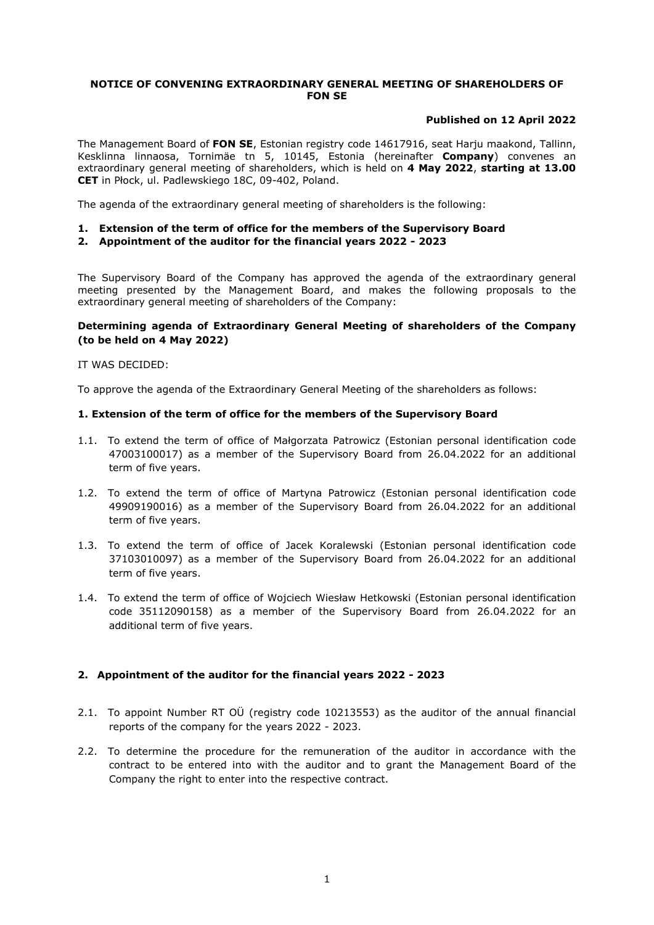## **NOTICE OF CONVENING EXTRAORDINARY GENERAL MEETING OF SHAREHOLDERS OF FON SE**

## **Published on 12 April 2022**

The Management Board of **FON SE**, Estonian registry code 14617916, seat Harju maakond, Tallinn, Kesklinna linnaosa, Tornimäe tn 5, 10145, Estonia (hereinafter **Company**) convenes an extraordinary general meeting of shareholders, which is held on **4 May 2022**, **starting at 13.00 CET** in Płock, ul. Padlewskiego 18C, 09-402, Poland.

The agenda of the extraordinary general meeting of shareholders is the following:

# **1. Extension of the term of office for the members of the Supervisory Board**

**2. Appointment of the auditor for the financial years 2022 - 2023**

The Supervisory Board of the Company has approved the agenda of the extraordinary general meeting presented by the Management Board, and makes the following proposals to the extraordinary general meeting of shareholders of the Company:

## **Determining agenda of Extraordinary General Meeting of shareholders of the Company (to be held on 4 May 2022)**

### IT WAS DECIDED:

To approve the agenda of the Extraordinary General Meeting of the shareholders as follows:

### **1. Extension of the term of office for the members of the Supervisory Board**

- 1.1. To extend the term of office of Małgorzata Patrowicz (Estonian personal identification code 47003100017) as a member of the Supervisory Board from 26.04.2022 for an additional term of five years.
- 1.2. To extend the term of office of Martyna Patrowicz (Estonian personal identification code 49909190016) as a member of the Supervisory Board from 26.04.2022 for an additional term of five years.
- 1.3. To extend the term of office of Jacek Koralewski (Estonian personal identification code 37103010097) as a member of the Supervisory Board from 26.04.2022 for an additional term of five years.
- 1.4. To extend the term of office of Wojciech Wiesław Hetkowski (Estonian personal identification code 35112090158) as a member of the Supervisory Board from 26.04.2022 for an additional term of five years.

## **2. Appointment of the auditor for the financial years 2022 - 2023**

- 2.1. To appoint Number RT OÜ (registry code 10213553) as the auditor of the annual financial reports of the company for the years 2022 - 2023.
- 2.2. To determine the procedure for the remuneration of the auditor in accordance with the contract to be entered into with the auditor and to grant the Management Board of the Company the right to enter into the respective contract.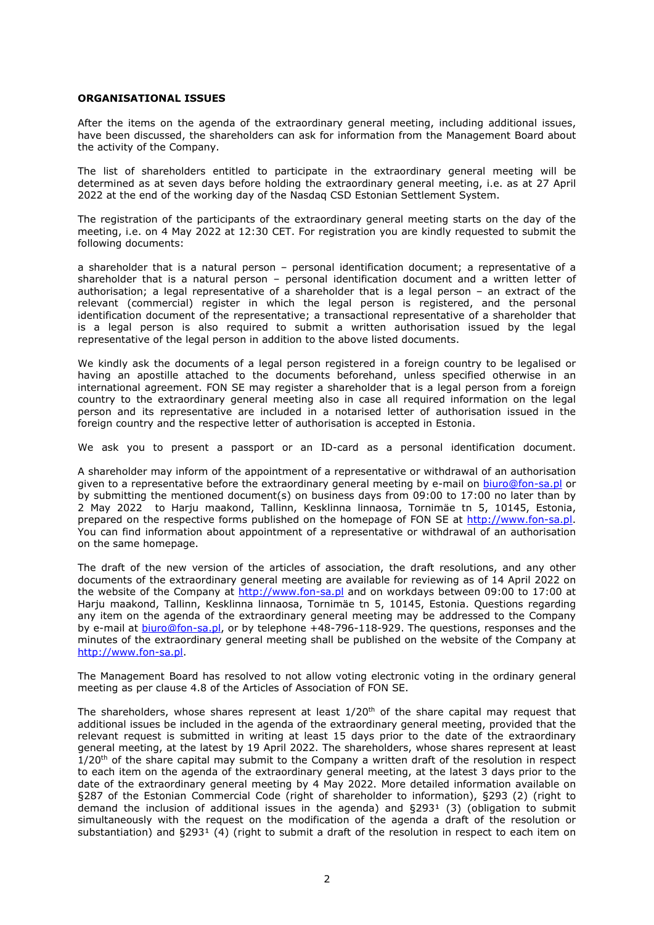#### **ORGANISATIONAL ISSUES**

After the items on the agenda of the extraordinary general meeting, including additional issues, have been discussed, the shareholders can ask for information from the Management Board about the activity of the Company.

The list of shareholders entitled to participate in the extraordinary general meeting will be determined as at seven days before holding the extraordinary general meeting, i.e. as at 27 April 2022 at the end of the working day of the Nasdaq CSD Estonian Settlement System.

The registration of the participants of the extraordinary general meeting starts on the day of the meeting, i.e. on 4 May 2022 at 12:30 CET. For registration you are kindly requested to submit the following documents:

a shareholder that is a natural person – personal identification document; a representative of a shareholder that is a natural person – personal identification document and a written letter of authorisation; a legal representative of a shareholder that is a legal person – an extract of the relevant (commercial) register in which the legal person is registered, and the personal identification document of the representative; a transactional representative of a shareholder that is a legal person is also required to submit a written authorisation issued by the legal representative of the legal person in addition to the above listed documents.

We kindly ask the documents of a legal person registered in a foreign country to be legalised or having an apostille attached to the documents beforehand, unless specified otherwise in an international agreement. FON SE may register a shareholder that is a legal person from a foreign country to the extraordinary general meeting also in case all required information on the legal person and its representative are included in a notarised letter of authorisation issued in the foreign country and the respective letter of authorisation is accepted in Estonia.

We ask you to present a passport or an ID-card as a personal identification document.

A shareholder may inform of the appointment of a representative or withdrawal of an authorisation given to a representative before the extraordinary general meeting by e-mail on [biuro@fon-sa.pl](mailto:biuro@fon-sa.pl) or by submitting the mentioned document(s) on business days from 09:00 to 17:00 no later than by 2 May 2022 to Harju maakond, Tallinn, Kesklinna linnaosa, Tornimäe tn 5, 10145, Estonia, prepared on the respective forms published on the homepage of FON SE at <http://www.fon-sa.pl>. You can find information about appointment of a representative or withdrawal of an authorisation on the same homepage.

The draft of the new version of the articles of association, the draft resolutions, and any other documents of the extraordinary general meeting are available for reviewing as of 14 April 2022 on the website of the Company at <http://www.fon-sa.pl> and on workdays between 09:00 to 17:00 at Harju maakond, Tallinn, Kesklinna linnaosa, Tornimäe tn 5, 10145, Estonia. Questions regarding any item on the agenda of the extraordinary general meeting may be addressed to the Company by e-mail at [biuro@fon-sa.pl](mailto:biuro@fon-sa.pl), or by telephone +48-796-118-929. The questions, responses and the minutes of the extraordinary general meeting shall be published on the website of the Company at [http://www.fon-sa.pl.](http://www.fon-sa.pl)

The Management Board has resolved to not allow voting electronic voting in the ordinary general meeting as per clause 4.8 of the Articles of Association of FON SE.

The shareholders, whose shares represent at least  $1/20^{\text{th}}$  of the share capital may request that additional issues be included in the agenda of the extraordinary general meeting, provided that the relevant request is submitted in writing at least 15 days prior to the date of the extraordinary general meeting, at the latest by 19 April 2022. The shareholders, whose shares represent at least 1/20<sup>th</sup> of the share capital may submit to the Company a written draft of the resolution in respect to each item on the agenda of the extraordinary general meeting, at the latest 3 days prior to the date of the extraordinary general meeting by 4 May 2022. More detailed information available on §287 of the Estonian Commercial Code (right of shareholder to information), §293 (2) (right to demand the inclusion of additional issues in the agenda) and  $\S293<sup>1</sup>$  (3) (obligation to submit simultaneously with the request on the modification of the agenda a draft of the resolution or substantiation) and  $\Sigma$ 293<sup>1</sup> (4) (right to submit a draft of the resolution in respect to each item on